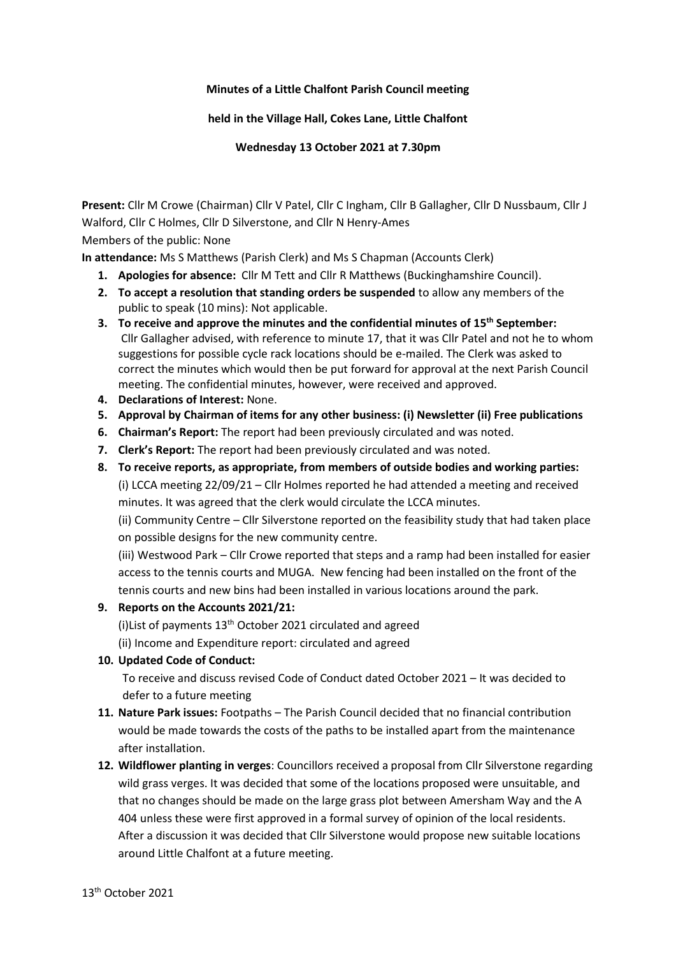### **Minutes of a Little Chalfont Parish Council meeting**

**held in the Village Hall, Cokes Lane, Little Chalfont**

**Wednesday 13 October 2021 at 7.30pm**

**Present:** Cllr M Crowe (Chairman) Cllr V Patel, Cllr C Ingham, Cllr B Gallagher, Cllr D Nussbaum, Cllr J Walford, Cllr C Holmes, Cllr D Silverstone, and Cllr N Henry-Ames

Members of the public: None

**In attendance:** Ms S Matthews (Parish Clerk) and Ms S Chapman (Accounts Clerk)

- **1. Apologies for absence:** Cllr M Tett and Cllr R Matthews (Buckinghamshire Council).
- **2. To accept a resolution that standing orders be suspended** to allow any members of the public to speak (10 mins): Not applicable.
- **3. To receive and approve the minutes and the confidential minutes of 15th September:**  Cllr Gallagher advised, with reference to minute 17, that it was Cllr Patel and not he to whom suggestions for possible cycle rack locations should be e-mailed. The Clerk was asked to correct the minutes which would then be put forward for approval at the next Parish Council meeting. The confidential minutes, however, were received and approved.
- **4. Declarations of Interest:** None.
- **5. Approval by Chairman of items for any other business: (i) Newsletter (ii) Free publications**
- **6. Chairman's Report:** The report had been previously circulated and was noted.
- **7. Clerk's Report:** The report had been previously circulated and was noted.
- **8. To receive reports, as appropriate, from members of outside bodies and working parties:** (i) LCCA meeting 22/09/21 – Cllr Holmes reported he had attended a meeting and received minutes. It was agreed that the clerk would circulate the LCCA minutes.

(ii) Community Centre – Cllr Silverstone reported on the feasibility study that had taken place on possible designs for the new community centre.

(iii) Westwood Park – Cllr Crowe reported that steps and a ramp had been installed for easier access to the tennis courts and MUGA. New fencing had been installed on the front of the tennis courts and new bins had been installed in various locations around the park.

# **9. Reports on the Accounts 2021/21:**

(i) List of payments  $13<sup>th</sup>$  October 2021 circulated and agreed

(ii) Income and Expenditure report: circulated and agreed

**10. Updated Code of Conduct:** 

To receive and discuss revised Code of Conduct dated October 2021 – It was decided to defer to a future meeting

- **11. Nature Park issues:** Footpaths The Parish Council decided that no financial contribution would be made towards the costs of the paths to be installed apart from the maintenance after installation.
- **12. Wildflower planting in verges**: Councillors received a proposal from Cllr Silverstone regarding wild grass verges. It was decided that some of the locations proposed were unsuitable, and that no changes should be made on the large grass plot between Amersham Way and the A 404 unless these were first approved in a formal survey of opinion of the local residents. After a discussion it was decided that Cllr Silverstone would propose new suitable locations around Little Chalfont at a future meeting.